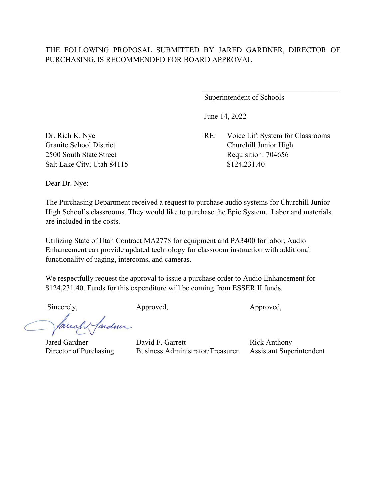Superintendent of Schools

June 14, 2022

Dr. Rich K. Nye RE: Voice Lift System for Classrooms Granite School District Churchill Junior High 2500 South State Street Requisition: 704656

Salt Lake City, Utah 84115 \$124,231.40

Dear Dr. Nye:

The Purchasing Department received a request to purchase audio systems for Churchill Junior High School's classrooms. They would like to purchase the Epic System. Labor and materials are included in the costs.

Utilizing State of Utah Contract MA2778 for equipment and PA3400 for labor, Audio Enhancement can provide updated technology for classroom instruction with additional functionality of paging, intercoms, and cameras.

We respectfully request the approval to issue a purchase order to Audio Enhancement for \$124,231.40. Funds for this expenditure will be coming from ESSER II funds.

Sincerely, Approved, Approved, Approved, Approved,

Jarden bruch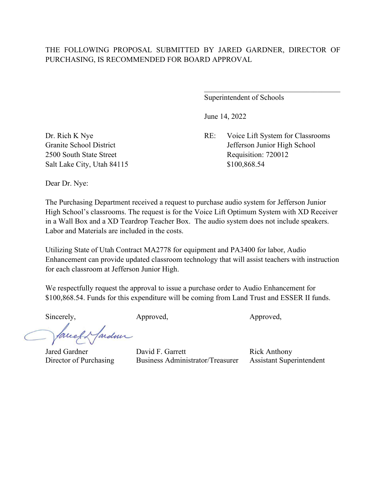Superintendent of Schools

June 14, 2022

Dr. Rich K Nye RE: Voice Lift System for Classrooms Granite School District Jefferson Junior High School 2500 South State Street Requisition: 720012

Salt Lake City, Utah 84115 \$100,868.54

Dear Dr. Nye:

The Purchasing Department received a request to purchase audio system for Jefferson Junior High School's classrooms. The request is for the Voice Lift Optimum System with XD Receiver in a Wall Box and a XD Teardrop Teacher Box. The audio system does not include speakers. Labor and Materials are included in the costs.

Utilizing State of Utah Contract MA2778 for equipment and PA3400 for labor, Audio Enhancement can provide updated classroom technology that will assist teachers with instruction for each classroom at Jefferson Junior High.

We respectfully request the approval to issue a purchase order to Audio Enhancement for \$100,868.54. Funds for this expenditure will be coming from Land Trust and ESSER II funds.

Sincerely, Approved, Approved, Approved, Approved,

Marden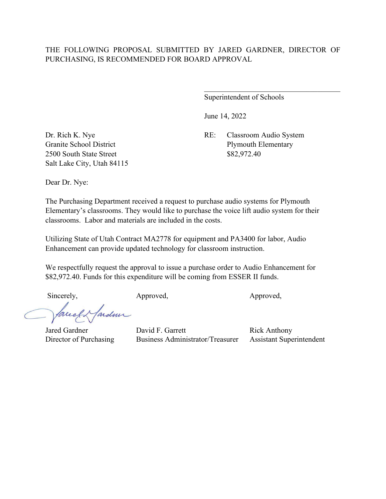Superintendent of Schools

 $\mathcal{L}_\mathcal{L}$  , which is a set of the set of the set of the set of the set of the set of the set of the set of the set of the set of the set of the set of the set of the set of the set of the set of the set of the set of

June 14, 2022

Dr. Rich K. Nye RE: Classroom Audio System Granite School District Plymouth Elementary

2500 South State Street \$82,972.40 Salt Lake City, Utah 84115

Dear Dr. Nye:

The Purchasing Department received a request to purchase audio systems for Plymouth Elementary's classrooms. They would like to purchase the voice lift audio system for their classrooms. Labor and materials are included in the costs.

Utilizing State of Utah Contract MA2778 for equipment and PA3400 for labor, Audio Enhancement can provide updated technology for classroom instruction.

We respectfully request the approval to issue a purchase order to Audio Enhancement for \$82,972.40. Funds for this expenditure will be coming from ESSER II funds.

Sincerely, Approved, Approved, Approved, Approved,

facell ardmi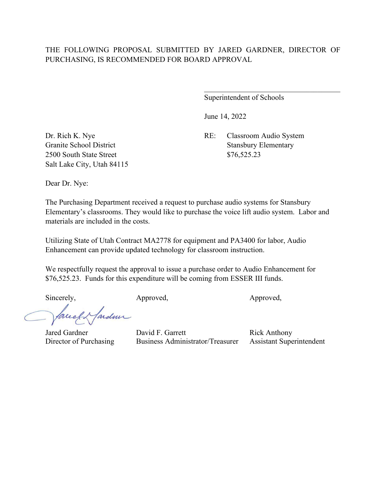Superintendent of Schools

June 14, 2022

2500 South State Street \$76,525.23 Salt Lake City, Utah 84115

Dr. Rich K. Nye RE: Classroom Audio System Granite School District Stansbury Elementary

Dear Dr. Nye:

The Purchasing Department received a request to purchase audio systems for Stansbury Elementary's classrooms. They would like to purchase the voice lift audio system. Labor and materials are included in the costs.

Utilizing State of Utah Contract MA2778 for equipment and PA3400 for labor, Audio Enhancement can provide updated technology for classroom instruction.

We respectfully request the approval to issue a purchase order to Audio Enhancement for \$76,525.23. Funds for this expenditure will be coming from ESSER III funds.

Sincerely, Approved, Approved, Approved,

Jared Gardner David F. Garrett Rick Anthony<br>Director of Purchasing Business Administrator/Treasurer Assistant Supe Business Administrator/Treasurer Assistant Superintendent

fardun breeff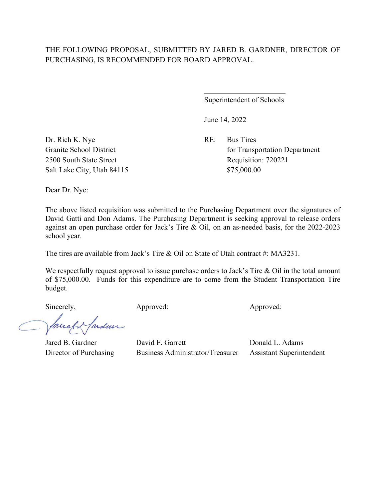$\overline{a}$ 

Superintendent of Schools

June 14, 2022

Granite School District **for Transportation Department** 2500 South State Street Requisition: 720221

Dr. Rich K. Nye RE: Bus Tires Salt Lake City, Utah 84115 \$75,000.00

Dear Dr. Nye:

The above listed requisition was submitted to the Purchasing Department over the signatures of David Gatti and Don Adams. The Purchasing Department is seeking approval to release orders against an open purchase order for Jack's Tire & Oil, on an as-needed basis, for the 2022-2023 school year.

The tires are available from Jack's Tire & Oil on State of Utah contract #: MA3231.

We respectfully request approval to issue purchase orders to Jack's Tire & Oil in the total amount of \$75,000.00. Funds for this expenditure are to come from the Student Transportation Tire budget.

Sincerely, Approved: Approved: Approved: Approved:

ardmi facell

Jared B. Gardner David F. Garrett Donald L. Adams

Director of Purchasing Business Administrator/Treasurer Assistant Superintendent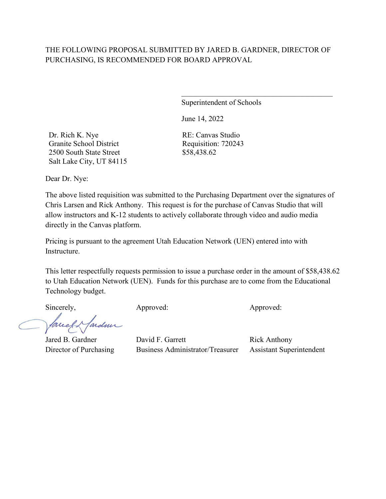Superintendent of Schools

 $\mathcal{L}_\mathcal{L}$  , which is a set of the set of the set of the set of the set of the set of the set of the set of the set of the set of the set of the set of the set of the set of the set of the set of the set of the set of

June 14, 2022

Dr. Rich K. Nye Granite School District 2500 South State Street Salt Lake City, UT 84115 RE: Canvas Studio Requisition: 720243 \$58,438.62

Dear Dr. Nye:

The above listed requisition was submitted to the Purchasing Department over the signatures of Chris Larsen and Rick Anthony. This request is for the purchase of Canvas Studio that will allow instructors and K-12 students to actively collaborate through video and audio media directly in the Canvas platform.

Pricing is pursuant to the agreement Utah Education Network (UEN) entered into with Instructure.

This letter respectfully requests permission to issue a purchase order in the amount of \$58,438.62 to Utah Education Network (UEN). Funds for this purchase are to come from the Educational Technology budget.

Mardin Taleet

Sincerely, Approved: Approved: Approved: Approved: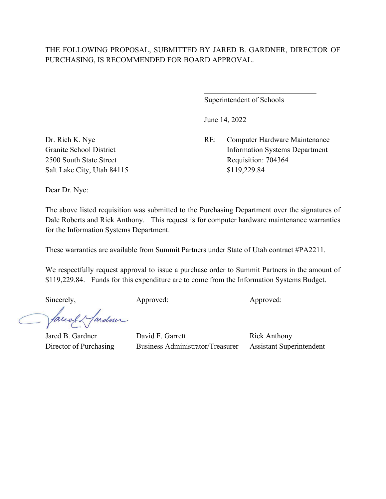$\overline{a}$ 

Superintendent of Schools

June 14, 2022

Dr. Rich K. Nye RE: Computer Hardware Maintenance Granite School District Information Systems Department 2500 South State Street Requisition: 704364

Salt Lake City, Utah 84115 \$119,229.84

Dear Dr. Nye:

The above listed requisition was submitted to the Purchasing Department over the signatures of Dale Roberts and Rick Anthony. This request is for computer hardware maintenance warranties for the Information Systems Department.

These warranties are available from Summit Partners under State of Utah contract #PA2211.

We respectfully request approval to issue a purchase order to Summit Partners in the amount of \$119,229.84. Funds for this expenditure are to come from the Information Systems Budget.

Sincerely, Approved: Approved: Approved: Approved:

facely farden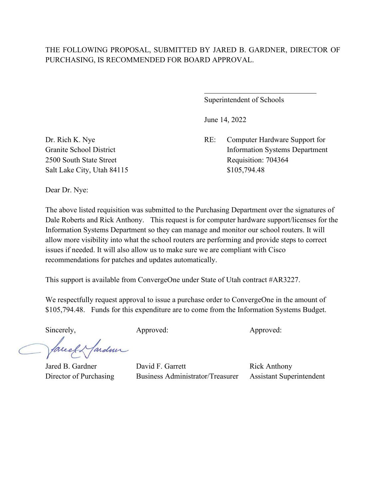$\overline{a}$ 

Superintendent of Schools

June 14, 2022

Dr. Rich K. Nye RE: Computer Hardware Support for Granite School District Information Systems Department 2500 South State Street Requisition: 704364

Salt Lake City, Utah 84115 \$105,794.48

Dear Dr. Nye:

The above listed requisition was submitted to the Purchasing Department over the signatures of Dale Roberts and Rick Anthony. This request is for computer hardware support/licenses for the Information Systems Department so they can manage and monitor our school routers. It will allow more visibility into what the school routers are performing and provide steps to correct issues if needed. It will also allow us to make sure we are compliant with Cisco recommendations for patches and updates automatically.

This support is available from ConvergeOne under State of Utah contract #AR3227.

We respectfully request approval to issue a purchase order to ConvergeOne in the amount of \$105,794.48. Funds for this expenditure are to come from the Information Systems Budget.

Sincerely, Approved: Approved: Approved: Approved:

facely farder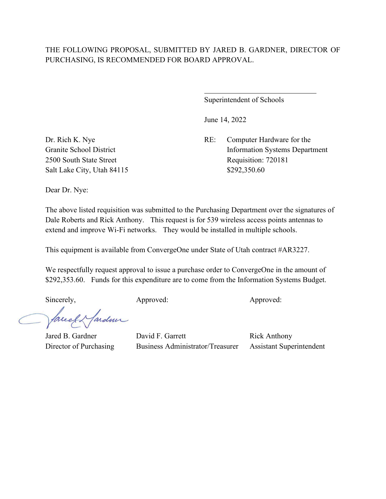$\overline{a}$ 

Superintendent of Schools

June 14, 2022

Dr. Rich K. Nye RE: Computer Hardware for the Granite School District Information Systems Department 2500 South State Street Requisition: 720181

Salt Lake City, Utah 84115 \$292,350.60

Dear Dr. Nye:

The above listed requisition was submitted to the Purchasing Department over the signatures of Dale Roberts and Rick Anthony. This request is for 539 wireless access points antennas to extend and improve Wi-Fi networks. They would be installed in multiple schools.

This equipment is available from ConvergeOne under State of Utah contract #AR3227.

We respectfully request approval to issue a purchase order to ConvergeOne in the amount of \$292,353.60. Funds for this expenditure are to come from the Information Systems Budget.

Sincerely, Approved: Approved: Approved: Approved:

facely farden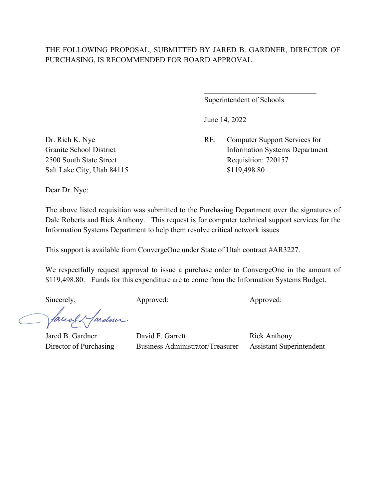$\overline{a}$ 

Superintendent of Schools

June 14, 2022

Dr. Rich K. Nye RE: Computer Support Services for Granite School District Information Systems Department 2500 South State Street Requisition: 720157

Salt Lake City, Utah 84115 \$119,498.80

Dear Dr. Nye:

The above listed requisition was submitted to the Purchasing Department over the signatures of Dale Roberts and Rick Anthony. This request is for computer technical support services for the Information Systems Department to help them resolve critical network issues

This support is available from ConvergeOne under State of Utah contract #AR3227.

We respectfully request approval to issue a purchase order to ConvergeOne in the amount of \$119,498.80. Funds for this expenditure are to come from the Information Systems Budget.

Sincerely, Approved: Approved: Approved: Approved:

facely farden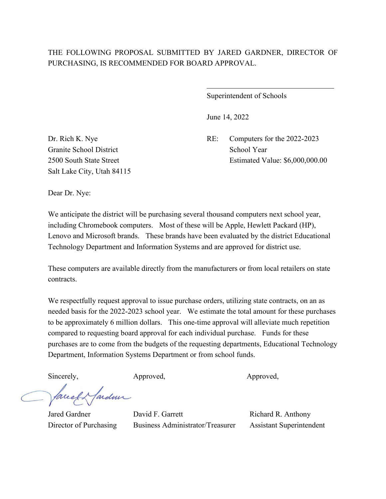$\overline{a}$ 

Superintendent of Schools

June 14, 2022

Dr. Rich K. Nye RE: Computers for the 2022-2023 2500 South State Street Estimated Value: \$6,000,000.00

Granite School District School Year Salt Lake City, Utah 84115

Dear Dr. Nye:

We anticipate the district will be purchasing several thousand computers next school year, including Chromebook computers. Most of these will be Apple, Hewlett Packard (HP), Lenovo and Microsoft brands. These brands have been evaluated by the district Educational Technology Department and Information Systems and are approved for district use.

These computers are available directly from the manufacturers or from local retailers on state contracts.

We respectfully request approval to issue purchase orders, utilizing state contracts, on an as needed basis for the 2022-2023 school year. We estimate the total amount for these purchases to be approximately 6 million dollars. This one-time approval will alleviate much repetition compared to requesting board approval for each individual purchase. Funds for these purchases are to come from the budgets of the requesting departments, Educational Technology Department, Information Systems Department or from school funds.

Jaccel & farden

Sincerely, Approved, Approved, Approved,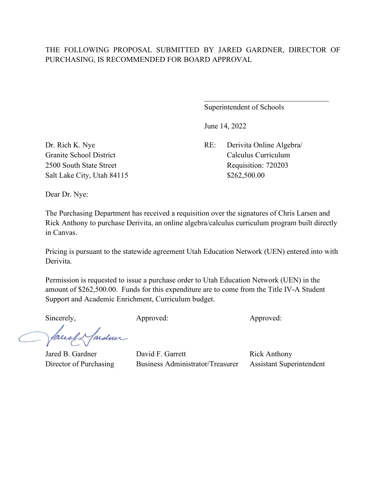Superintendent of Schools

June 14, 2022

Dr. Rich K. Nye RE: Derivita Online Algebra/ Granite School District Calculus Curriculum 2500 South State Street Requisition: 720203

Salt Lake City, Utah 84115 \$262,500.00

Dear Dr. Nye:

The Purchasing Department has received a requisition over the signatures of Chris Larsen and Rick Anthony to purchase Derivita, an online algebra/calculus curriculum program built directly in Canvas.

Pricing is pursuant to the statewide agreement Utah Education Network (UEN) entered into with Derivita.

Permission is requested to issue a purchase order to Utah Education Network (UEN) in the amount of \$262,500.00. Funds for this expenditure are to come from the Title IV-A Student Support and Academic Enrichment, Curriculum budget.

Sincerely, Approved: Approved: Approved: Approved:

facely farden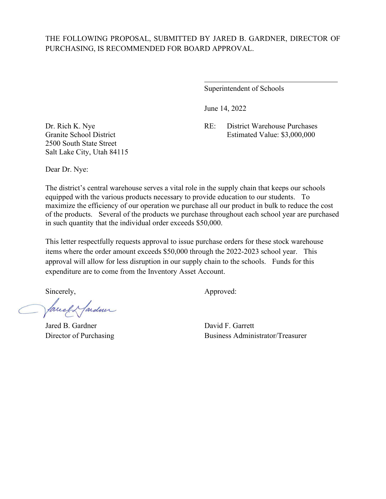$\overline{a}$ 

Superintendent of Schools

June 14, 2022

Dr. Rich K. Nye RE: District Warehouse Purchases Granite School District Estimated Value: \$3,000,000

2500 South State Street Salt Lake City, Utah 84115

Dear Dr. Nye:

The district's central warehouse serves a vital role in the supply chain that keeps our schools equipped with the various products necessary to provide education to our students. To maximize the efficiency of our operation we purchase all our product in bulk to reduce the cost of the products. Several of the products we purchase throughout each school year are purchased in such quantity that the individual order exceeds \$50,000.

This letter respectfully requests approval to issue purchase orders for these stock warehouse items where the order amount exceeds \$50,000 through the 2022-2023 school year. This approval will allow for less disruption in our supply chain to the schools. Funds for this expenditure are to come from the Inventory Asset Account.

fardun facell

Jared B. Gardner David F. Garrett

Sincerely,  $\qquad \qquad \text{Approved:}$ 

Director of Purchasing Business Administrator/Treasurer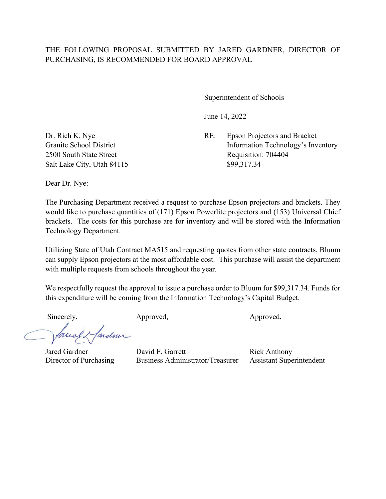Superintendent of Schools

June 14, 2022

Dr. Rich K. Nye RE: Epson Projectors and Bracket Granite School District Information Technology's Inventory 2500 South State Street Requisition: 704404

Salt Lake City, Utah 84115 \$99,317.34

Dear Dr. Nye:

The Purchasing Department received a request to purchase Epson projectors and brackets. They would like to purchase quantities of (171) Epson Powerlite projectors and (153) Universal Chief brackets. The costs for this purchase are for inventory and will be stored with the Information Technology Department.

Utilizing State of Utah Contract MA515 and requesting quotes from other state contracts, Bluum can supply Epson projectors at the most affordable cost. This purchase will assist the department with multiple requests from schools throughout the year.

We respectfully request the approval to issue a purchase order to Bluum for \$99,317.34. Funds for this expenditure will be coming from the Information Technology's Capital Budget.

Sincerely, Approved, Approved, Approved,

lardmi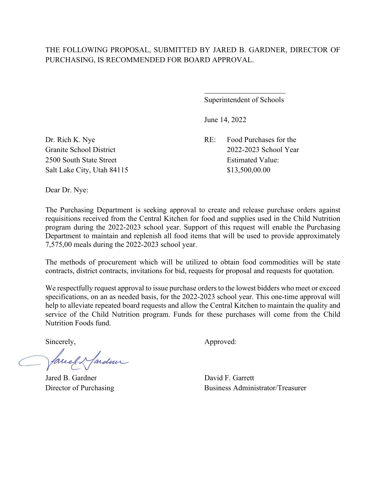$\overline{a}$ 

Superintendent of Schools

June 14, 2022

Dr. Rich K. Nye RE: Food Purchases for the Granite School District 2022-2023 School Year

2500 South State Street Estimated Value: Salt Lake City, Utah 84115 \$13,500,00.00

Dear Dr. Nye:

The Purchasing Department is seeking approval to create and release purchase orders against requisitions received from the Central Kitchen for food and supplies used in the Child Nutrition program during the 2022-2023 school year. Support of this request will enable the Purchasing Department to maintain and replenish all food items that will be used to provide approximately 7,575,00 meals during the 2022-2023 school year.

The methods of procurement which will be utilized to obtain food commodities will be state contracts, district contracts, invitations for bid, requests for proposal and requests for quotation.

We respectfully request approval to issue purchase orders to the lowest bidders who meet or exceed specifications, on an as needed basis, for the 2022-2023 school year. This one-time approval will help to alleviate repeated board requests and allow the Central Kitchen to maintain the quality and service of the Child Nutrition program. Funds for these purchases will come from the Child Nutrition Foods fund.

facely farden

Jared B. Gardner David F. Garrett

Sincerely,  $\qquad \qquad \text{Approved:}$ 

Director of Purchasing Business Administrator/Treasurer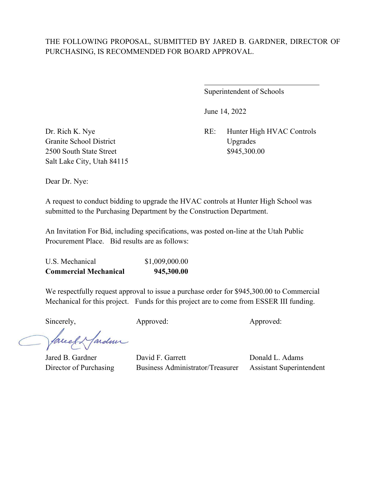$\overline{a}$ 

Superintendent of Schools

June 14, 2022

Dr. Rich K. Nye RE: Hunter High HVAC Controls

Granite School District Upgrades 2500 South State Street \$945,300.00 Salt Lake City, Utah 84115

Dear Dr. Nye:

A request to conduct bidding to upgrade the HVAC controls at Hunter High School was submitted to the Purchasing Department by the Construction Department.

An Invitation For Bid, including specifications, was posted on-line at the Utah Public Procurement Place. Bid results are as follows:

| <b>Commercial Mechanical</b> | 945,300.00     |
|------------------------------|----------------|
| U.S. Mechanical              | \$1,009,000.00 |

We respectfully request approval to issue a purchase order for \$945,300.00 to Commercial Mechanical for this project. Funds for this project are to come from ESSER III funding.

Sincerely, Approved: Approved: Approved: Approved:

facely farder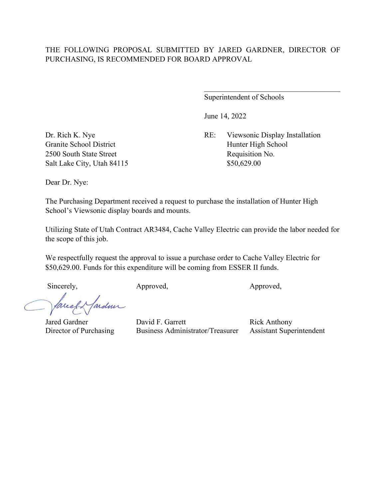Superintendent of Schools

June 14, 2022

Dr. Rich K. Nye RE: Viewsonic Display Installation Granite School District Hunter High School Hunter High School

 $\mathcal{L}_\mathcal{L}$  , which is a set of the set of the set of the set of the set of the set of the set of the set of the set of the set of the set of the set of the set of the set of the set of the set of the set of the set of

2500 South State Street Requisition No. Salt Lake City, Utah 84115 \$50,629.00

Dear Dr. Nye:

The Purchasing Department received a request to purchase the installation of Hunter High School's Viewsonic display boards and mounts.

Utilizing State of Utah Contract AR3484, Cache Valley Electric can provide the labor needed for the scope of this job.

We respectfully request the approval to issue a purchase order to Cache Valley Electric for \$50,629.00. Funds for this expenditure will be coming from ESSER II funds.

Sincerely, Approved, Approved, Approved, Approved,

fardun facel

Jared Gardner David F. Garrett Rick Anthony<br>Director of Purchasing Business Administrator/Treasurer Assistant Supe Business Administrator/Treasurer Assistant Superintendent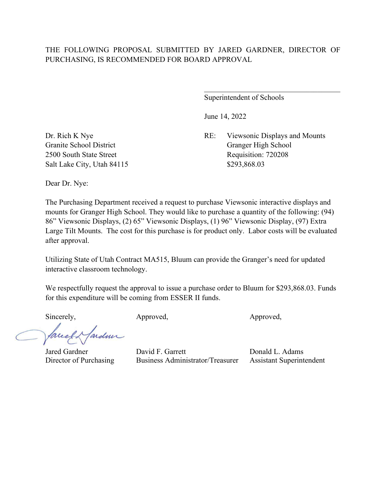Superintendent of Schools

June 14, 2022

Dr. Rich K Nye RE: Viewsonic Displays and Mounts Granite School District Granger High School 2500 South State Street Requisition: 720208

Salt Lake City, Utah 84115 \$293,868.03

Dear Dr. Nye:

The Purchasing Department received a request to purchase Viewsonic interactive displays and mounts for Granger High School. They would like to purchase a quantity of the following: (94) 86" Viewsonic Displays, (2) 65" Viewsonic Displays, (1) 96" Viewsonic Display, (97) Extra Large Tilt Mounts. The cost for this purchase is for product only. Labor costs will be evaluated after approval.

Utilizing State of Utah Contract MA515, Bluum can provide the Granger's need for updated interactive classroom technology.

We respectfully request the approval to issue a purchase order to Bluum for \$293,868.03. Funds for this expenditure will be coming from ESSER II funds.

Sincerely, Approved, Approved, Approved, Approved,

Jardin

Jared Gardner David F. Garrett Donald L. Adams

Director of Purchasing Business Administrator/Treasurer Assistant Superintendent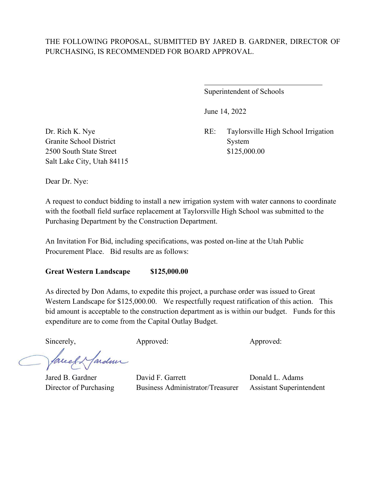$\overline{a}$ 

Superintendent of Schools

June 14, 2022

Dr. Rich K. Nye RE: Taylorsville High School Irrigation

Granite School District System 2500 South State Street \$125,000.00 Salt Lake City, Utah 84115

Dear Dr. Nye:

A request to conduct bidding to install a new irrigation system with water cannons to coordinate with the football field surface replacement at Taylorsville High School was submitted to the Purchasing Department by the Construction Department.

An Invitation For Bid, including specifications, was posted on-line at the Utah Public Procurement Place. Bid results are as follows:

#### **Great Western Landscape \$125,000.00**

As directed by Don Adams, to expedite this project, a purchase order was issued to Great Western Landscape for \$125,000.00. We respectfully request ratification of this action. This bid amount is acceptable to the construction department as is within our budget. Funds for this expenditure are to come from the Capital Outlay Budget.

Sincerely, Approved: Approved: Approved: Approved:

es fardun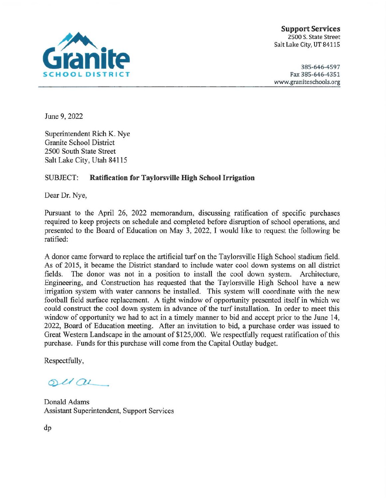

**Support Services** 2500 S. State Street Salt Lake City, UT 84115

385-646-4597 Fax 385-646-4351 www.graniteschools.org

June 9, 2022

Superintendent Rich K. Nye **Granite School District** 2500 South State Street Salt Lake City, Utah 84115

#### **SUBJECT: Ratification for Taylorsville High School Irrigation**

Dear Dr. Nye,

Pursuant to the April 26, 2022 memorandum, discussing ratification of specific purchases required to keep projects on schedule and completed before disruption of school operations, and presented to the Board of Education on May 3, 2022, I would like to request the following be ratified:

A donor came forward to replace the artificial turf on the Taylorsville High School stadium field. As of 2015, it became the District standard to include water cool down systems on all district The donor was not in a position to install the cool down system. Architecture, fields. Engineering, and Construction has requested that the Taylorsville High School have a new irrigation system with water cannons be installed. This system will coordinate with the new football field surface replacement. A tight window of opportunity presented itself in which we could construct the cool down system in advance of the turf installation. In order to meet this window of opportunity we had to act in a timely manner to bid and accept prior to the June 14. 2022, Board of Education meeting. After an invitation to bid, a purchase order was issued to Great Western Landscape in the amount of \$125,000. We respectfully request ratification of this purchase. Funds for this purchase will come from the Capital Outlay budget.

Respectfully,

 $ol($ 

Donald Adams **Assistant Superintendent, Support Services** 

 $dp$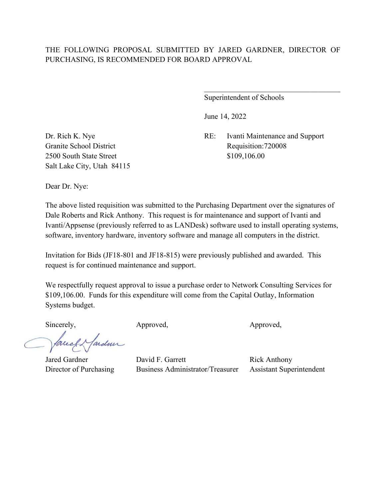Superintendent of Schools

June 14, 2022

Dr. Rich K. Nye RE: Ivanti Maintenance and Support

Granite School District Requisition: 720008 2500 South State Street \$109,106.00 Salt Lake City, Utah 84115

Dear Dr. Nye:

The above listed requisition was submitted to the Purchasing Department over the signatures of Dale Roberts and Rick Anthony. This request is for maintenance and support of Ivanti and Ivanti/Appsense (previously referred to as LANDesk) software used to install operating systems, software, inventory hardware, inventory software and manage all computers in the district.

Invitation for Bids (JF18-801 and JF18-815) were previously published and awarded. This request is for continued maintenance and support.

We respectfully request approval to issue a purchase order to Network Consulting Services for \$109,106.00. Funds for this expenditure will come from the Capital Outlay, Information Systems budget.

faceef & fardence

Sincerely, Approved, Approved, Approved, Approved,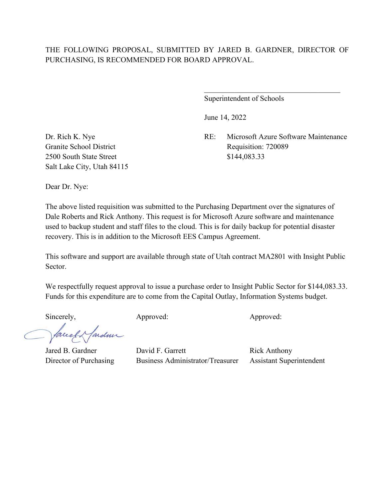Superintendent of Schools

June 14, 2022

Dr. Rich K. Nye RE: Microsoft Azure Software Maintenance Granite School District Requisition: 720089

 $\mathcal{L}_\mathcal{L}$  , which is a set of the set of the set of the set of the set of the set of the set of the set of the set of the set of the set of the set of the set of the set of the set of the set of the set of the set of

2500 South State Street \$144,083.33 Salt Lake City, Utah 84115

Dear Dr. Nye:

The above listed requisition was submitted to the Purchasing Department over the signatures of Dale Roberts and Rick Anthony. This request is for Microsoft Azure software and maintenance used to backup student and staff files to the cloud. This is for daily backup for potential disaster recovery. This is in addition to the Microsoft EES Campus Agreement.

This software and support are available through state of Utah contract MA2801 with Insight Public Sector.

We respectfully request approval to issue a purchase order to Insight Public Sector for \$144,083.33. Funds for this expenditure are to come from the Capital Outlay, Information Systems budget.

Sincerely, Approved: Approved: Approved: Approved:

facely farden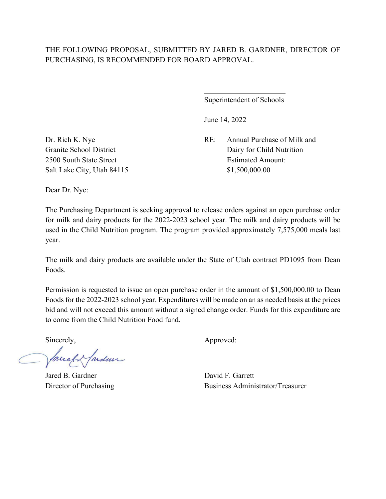$\overline{a}$ 

Superintendent of Schools

June 14, 2022

Dr. Rich K. Nye RE: Annual Purchase of Milk and Granite School District Dairy for Child Nutrition 2500 South State Street **Estimated Amount:** 

Salt Lake City, Utah 84115 \$1,500,000.00

Dear Dr. Nye:

The Purchasing Department is seeking approval to release orders against an open purchase order for milk and dairy products for the 2022-2023 school year. The milk and dairy products will be used in the Child Nutrition program. The program provided approximately 7,575,000 meals last year.

The milk and dairy products are available under the State of Utah contract PD1095 from Dean Foods.

Permission is requested to issue an open purchase order in the amount of \$1,500,000.00 to Dean Foods for the 2022-2023 school year. Expenditures will be made on an as needed basis at the prices bid and will not exceed this amount without a signed change order. Funds for this expenditure are to come from the Child Nutrition Food fund.

facely farden

Jared B. Gardner David F. Garrett

Sincerely,  $\qquad \qquad \text{Approved:}$ 

Director of Purchasing Business Administrator/Treasurer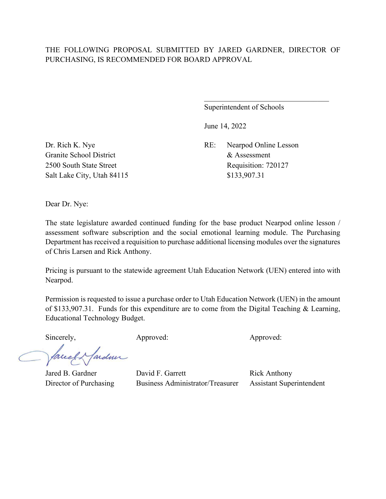Superintendent of Schools

June 14, 2022

Granite School District  $\&$  Assessment Salt Lake City, Utah 84115 \$133,907.31

Dr. Rich K. Nye RE: Nearpod Online Lesson 2500 South State Street Requisition: 720127

Dear Dr. Nye:

The state legislature awarded continued funding for the base product Nearpod online lesson / assessment software subscription and the social emotional learning module. The Purchasing Department has received a requisition to purchase additional licensing modules over the signatures of Chris Larsen and Rick Anthony.

Pricing is pursuant to the statewide agreement Utah Education Network (UEN) entered into with Nearpod.

Permission is requested to issue a purchase order to Utah Education Network (UEN) in the amount of \$133,907.31. Funds for this expenditure are to come from the Digital Teaching & Learning, Educational Technology Budget.

Sincerely, Approved: Approved: Approved: Approved:

fardun facely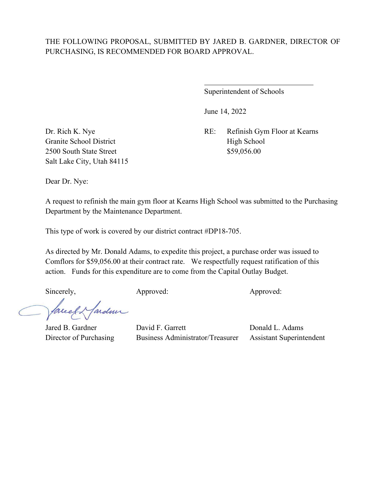$\overline{a}$ 

Superintendent of Schools

June 14, 2022

Dr. Rich K. Nye RE: Refinish Gym Floor at Kearns

Granite School District High School 2500 South State Street \$59,056.00 Salt Lake City, Utah 84115

Dear Dr. Nye:

A request to refinish the main gym floor at Kearns High School was submitted to the Purchasing Department by the Maintenance Department.

This type of work is covered by our district contract #DP18-705.

As directed by Mr. Donald Adams, to expedite this project, a purchase order was issued to Comflors for \$59,056.00 at their contract rate. We respectfully request ratification of this action. Funds for this expenditure are to come from the Capital Outlay Budget.

fardun facel

Sincerely, Approved: Approved: Approved: Approved: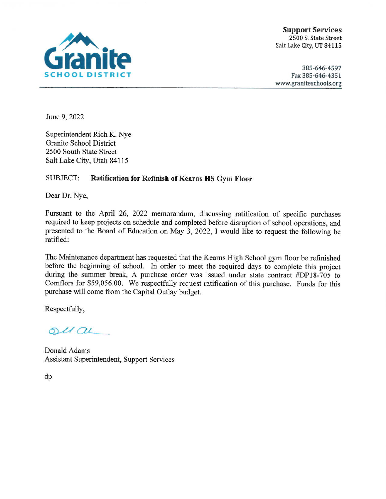

**Support Services** 2500 S. State Street Salt Lake City, UT 84115

385-646-4597 Fax 385-646-4351 www.graniteschools.org

June 9, 2022

Superintendent Rich K. Nye **Granite School District** 2500 South State Street Salt Lake City, Utah 84115

#### **SUBJECT: Ratification for Refinish of Kearns HS Gym Floor**

Dear Dr. Nye,

Pursuant to the April 26, 2022 memorandum, discussing ratification of specific purchases required to keep projects on schedule and completed before disruption of school operations, and presented to the Board of Education on May 3, 2022, I would like to request the following be ratified:

The Maintenance department has requested that the Kearns High School gym floor be refinished before the beginning of school. In order to meet the required days to complete this project during the summer break, A purchase order was issued under state contract #DP18-705 to Comflors for \$59,056.00. We respectfully request ratification of this purchase. Funds for this purchase will come from the Capital Outlay budget.

Respectfully,

 $ol(au)$ 

Donald Adams **Assistant Superintendent, Support Services** 

 $dp$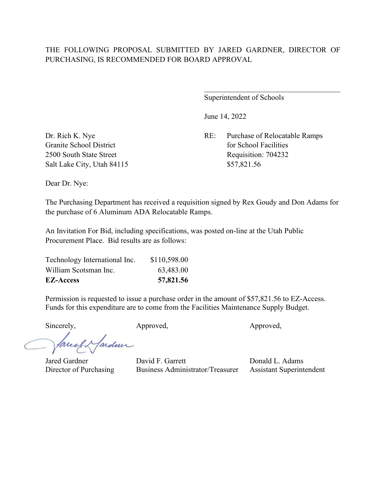Superintendent of Schools

June 14, 2022

Dr. Rich K. Nye RE: Purchase of Relocatable Ramps Granite School District **for School Facilities** for School Facilities 2500 South State Street Requisition: 704232

Salt Lake City, Utah 84115 \$57,821.56

Dear Dr. Nye:

The Purchasing Department has received a requisition signed by Rex Goudy and Don Adams for the purchase of 6 Aluminum ADA Relocatable Ramps.

An Invitation For Bid, including specifications, was posted on-line at the Utah Public Procurement Place. Bid results are as follows:

| Technology International Inc. | \$110,598.00 |
|-------------------------------|--------------|
| William Scotsman Inc.         | 63,483.00    |
| <b>EZ-Access</b>              | 57,821.56    |

Permission is requested to issue a purchase order in the amount of \$57,821.56 to EZ-Access. Funds for this expenditure are to come from the Facilities Maintenance Supply Budget.

Sincerely, Approved, Approved, Approved,

facely farden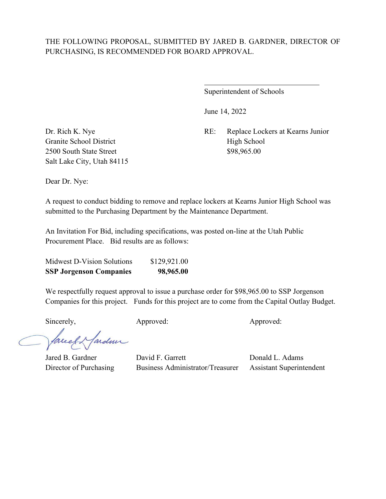$\overline{a}$ 

Superintendent of Schools

June 14, 2022

Dr. Rich K. Nye RE: Replace Lockers at Kearns Junior

Granite School District High School 2500 South State Street \$98,965.00 Salt Lake City, Utah 84115

Dear Dr. Nye:

A request to conduct bidding to remove and replace lockers at Kearns Junior High School was submitted to the Purchasing Department by the Maintenance Department.

An Invitation For Bid, including specifications, was posted on-line at the Utah Public Procurement Place. Bid results are as follows:

| <b>SSP Jorgenson Companies</b> | 98,965.00    |
|--------------------------------|--------------|
| Midwest D-Vision Solutions     | \$129,921.00 |

We respectfully request approval to issue a purchase order for \$98,965.00 to SSP Jorgenson Companies for this project. Funds for this project are to come from the Capital Outlay Budget.

Sincerely, Approved: Approved: Approved: Approved:

facely farder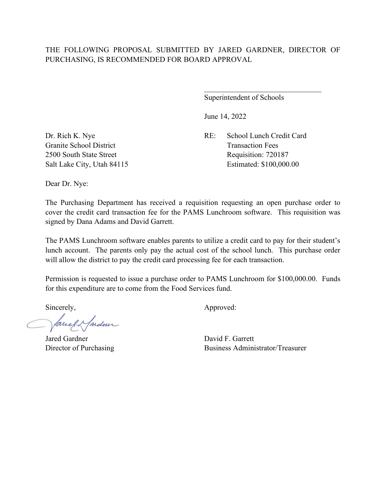Superintendent of Schools

June 14, 2022

Granite School District Transaction Fees

Dr. Rich K. Nye RE: School Lunch Credit Card 2500 South State Street Requisition: 720187 Salt Lake City, Utah 84115 Estimated: \$100,000.00

Dear Dr. Nye:

The Purchasing Department has received a requisition requesting an open purchase order to cover the credit card transaction fee for the PAMS Lunchroom software. This requisition was signed by Dana Adams and David Garrett.

The PAMS Lunchroom software enables parents to utilize a credit card to pay for their student's lunch account. The parents only pay the actual cost of the school lunch. This purchase order will allow the district to pay the credit card processing fee for each transaction.

Permission is requested to issue a purchase order to PAMS Lunchroom for \$100,000.00. Funds for this expenditure are to come from the Food Services fund.

facel & farden

Jared Gardner David F. Garrett

Sincerely,  $\qquad \qquad \text{Approved:}$ 

Director of Purchasing Business Administrator/Treasurer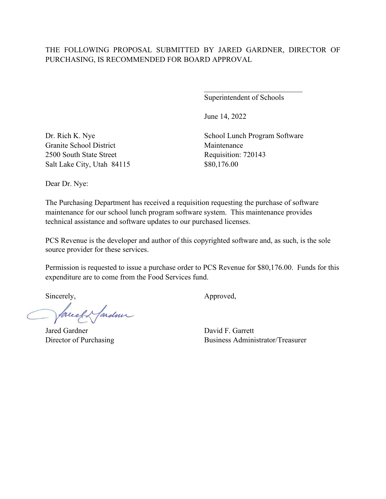Superintendent of Schools

June 14, 2022

Granite School District Maintenance 2500 South State Street Requisition: 720143 Salt Lake City, Utah 84115 \$80,176.00

Dr. Rich K. Nye School Lunch Program Software

Dear Dr. Nye:

The Purchasing Department has received a requisition requesting the purchase of software maintenance for our school lunch program software system. This maintenance provides technical assistance and software updates to our purchased licenses.

PCS Revenue is the developer and author of this copyrighted software and, as such, is the sole source provider for these services.

Permission is requested to issue a purchase order to PCS Revenue for \$80,176.00. Funds for this expenditure are to come from the Food Services fund.

faced fardeur

Jared Gardner David F. Garrett

Sincerely, Approved,

Director of Purchasing Business Administrator/Treasurer